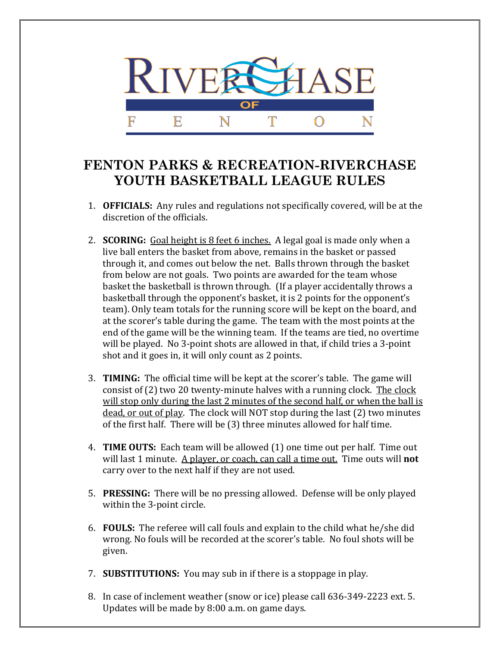

## **FENTON PARKS & RECREATION-RIVERCHASE YOUTH BASKETBALL LEAGUE RULES**

- 1. **OFFICIALS:** Any rules and regulations not specifically covered, will be at the discretion of the officials.
- 2. **SCORING:** Goal height is 8 feet 6 inches. A legal goal is made only when a live ball enters the basket from above, remains in the basket or passed through it, and comes out below the net. Balls thrown through the basket from below are not goals. Two points are awarded for the team whose basket the basketball is thrown through. (If a player accidentally throws a basketball through the opponent's basket, it is 2 points for the opponent's team). Only team totals for the running score will be kept on the board, and at the scorer's table during the game. The team with the most points at the end of the game will be the winning team. If the teams are tied, no overtime will be played. No 3-point shots are allowed in that, if child tries a 3-point shot and it goes in, it will only count as 2 points.
- 3. **TIMING:** The official time will be kept at the scorer's table. The game will consist of (2) two 20 twenty-minute halves with a running clock. The clock will stop only during the last 2 minutes of the second half, or when the ball is dead, or out of play. The clock will NOT stop during the last (2) two minutes of the first half. There will be (3) three minutes allowed for half time.
- 4. **TIME OUTS:** Each team will be allowed (1) one time out per half. Time out will last 1 minute. A player, or coach, can call a time out. Time outs will **not** carry over to the next half if they are not used.
- 5. **PRESSING:** There will be no pressing allowed. Defense will be only played within the 3-point circle.
- 6. **FOULS:** The referee will call fouls and explain to the child what he/she did wrong. No fouls will be recorded at the scorer's table. No foul shots will be given.
- 7. **SUBSTITUTIONS:** You may sub in if there is a stoppage in play.
- 8. In case of inclement weather (snow or ice) please call 636-349-2223 ext. 5. Updates will be made by 8:00 a.m. on game days.